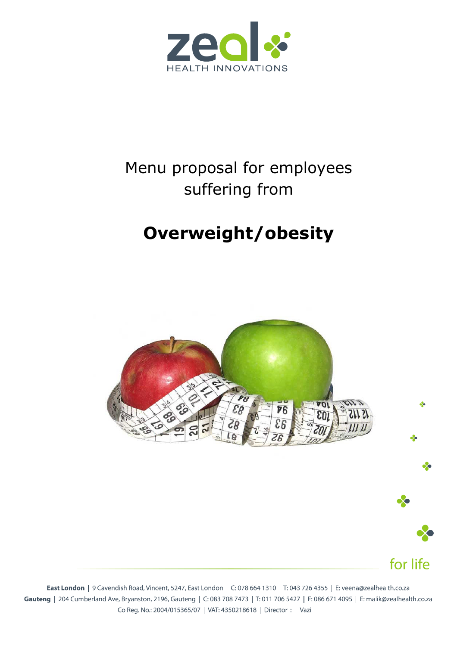

# Menu proposal for employees suffering from

# **Overweight/obesity**



for life

East London | 9 Cavendish Road, Vincent, 5247, East London | C: 078 664 1310 | T: 043 726 4355 | E: veena@zealhealth.co.za Gauteng | 204 Cumberland Ave, Bryanston, 2196, Gauteng | C: 083 708 7473 | T: 011 706 5427 | F: 086 671 4095 | E: malik@zealhealth.co.za Co Reg. No.: 2004/015365/07 | VAT: 4350218618 | Director : Vazi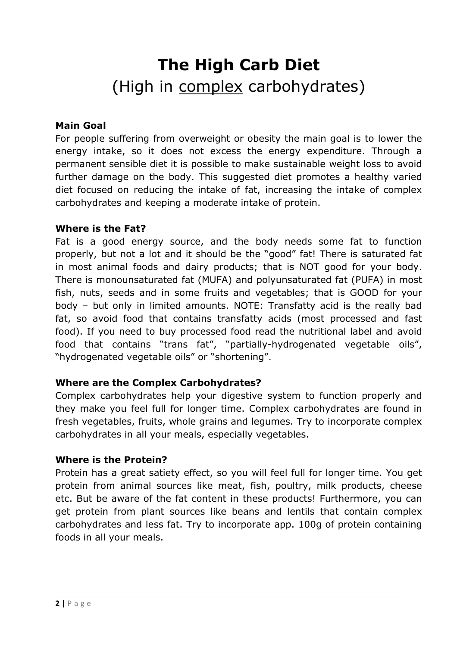# **The High Carb Diet** (High in complex carbohydrates)

### **Main Goal**

For people suffering from overweight or obesity the main goal is to lower the energy intake, so it does not excess the energy expenditure. Through a permanent sensible diet it is possible to make sustainable weight loss to avoid further damage on the body. This suggested diet promotes a healthy varied diet focused on reducing the intake of fat, increasing the intake of complex carbohydrates and keeping a moderate intake of protein.

#### **Where is the Fat?**

Fat is a good energy source, and the body needs some fat to function properly, but not a lot and it should be the "good" fat! There is saturated fat in most animal foods and dairy products; that is NOT good for your body. There is monounsaturated fat (MUFA) and polyunsaturated fat (PUFA) in most fish, nuts, seeds and in some fruits and vegetables; that is GOOD for your body – but only in limited amounts. NOTE: Transfatty acid is the really bad fat, so avoid food that contains transfatty acids (most processed and fast food). If you need to buy processed food read the nutritional label and avoid food that contains "trans fat", "partially-hydrogenated vegetable oils", "hydrogenated vegetable oils" or "shortening".

## **Where are the Complex Carbohydrates?**

Complex carbohydrates help your digestive system to function properly and they make you feel full for longer time. Complex carbohydrates are found in fresh vegetables, fruits, whole grains and legumes. Try to incorporate complex carbohydrates in all your meals, especially vegetables.

#### **Where is the Protein?**

Protein has a great satiety effect, so you will feel full for longer time. You get protein from animal sources like meat, fish, poultry, milk products, cheese etc. But be aware of the fat content in these products! Furthermore, you can get protein from plant sources like beans and lentils that contain complex carbohydrates and less fat. Try to incorporate app. 100g of protein containing foods in all your meals.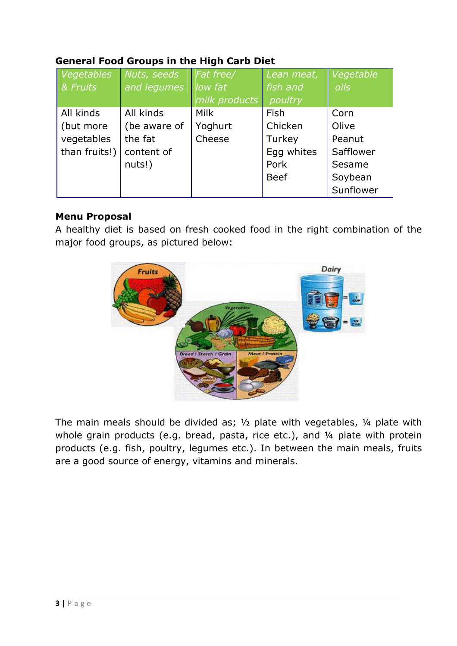## **General Food Groups in the High Carb Diet**

| Vegetables    | Nuts, seeds  | Fat free/     | Lean meat,  | Vegetable |
|---------------|--------------|---------------|-------------|-----------|
| & Fruits      | and legumes  | low fat       | fish and    | oils      |
|               |              | milk products | poultry     |           |
| All kinds     | All kinds    | <b>Milk</b>   | Fish        | Corn      |
| (but more     | (be aware of | Yoghurt       | Chicken     | Olive     |
| vegetables    | the fat      | Cheese        | Turkey      | Peanut    |
| than fruits!) | content of   |               | Egg whites  | Safflower |
|               | nuts!)       |               | Pork        | Sesame    |
|               |              |               | <b>Beef</b> | Soybean   |
|               |              |               |             | Sunflower |

### **Menu Proposal**

A healthy diet is based on fresh cooked food in the right combination of the major food groups, as pictured below:



The main meals should be divided as;  $\frac{1}{2}$  plate with vegetables,  $\frac{1}{4}$  plate with whole grain products (e.g. bread, pasta, rice etc.), and 1/4 plate with protein products (e.g. fish, poultry, legumes etc.). In between the main meals, fruits are a good source of energy, vitamins and minerals.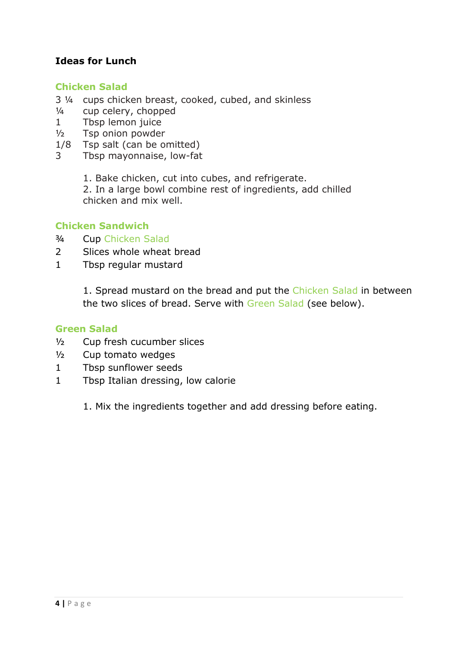## **Ideas for Lunch**

#### **Chicken Salad**

- 3 ¼ cups chicken breast, cooked, cubed, and skinless
- ¼ cup celery, chopped
- 1 Tbsp lemon juice
- ½ Tsp onion powder
- 1/8 Tsp salt (can be omitted)
- 3 Tbsp mayonnaise, low-fat
	- 1. Bake chicken, cut into cubes, and refrigerate.

2. In a large bowl combine rest of ingredients, add chilled chicken and mix well.

### **Chicken Sandwich**

- ¾ Cup Chicken Salad
- 2 Slices whole wheat bread
- 1 Tbsp regular mustard

1. Spread mustard on the bread and put the Chicken Salad in between the two slices of bread. Serve with Green Salad (see below).

#### **Green Salad**

- ½ Cup fresh cucumber slices
- ½ Cup tomato wedges
- 1 Tbsp sunflower seeds
- 1 Tbsp Italian dressing, low calorie
	- 1. Mix the ingredients together and add dressing before eating.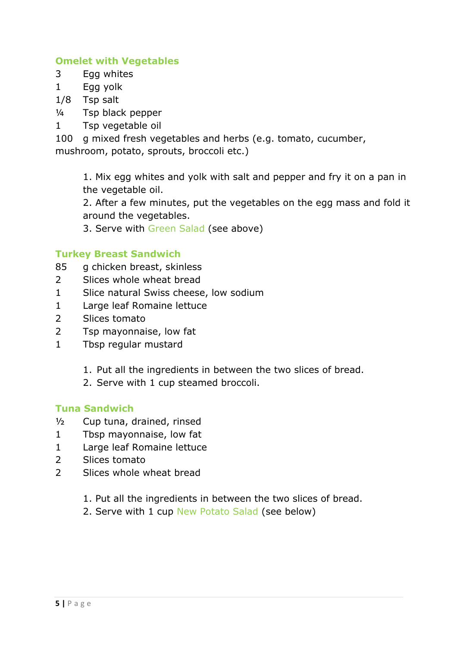## **Omelet with Vegetables**

- 3 Egg whites
- 1 Egg yolk
- 1/8 Tsp salt
- ¼ Tsp black pepper
- 1 Tsp vegetable oil

100 g mixed fresh vegetables and herbs (e.g. tomato, cucumber,

mushroom, potato, sprouts, broccoli etc.)

1. Mix egg whites and yolk with salt and pepper and fry it on a pan in the vegetable oil.

2. After a few minutes, put the vegetables on the egg mass and fold it around the vegetables.

3. Serve with Green Salad (see above)

## **Turkey Breast Sandwich**

- 85 g chicken breast, skinless
- 2 Slices whole wheat bread
- 1 Slice natural Swiss cheese, low sodium
- 1 Large leaf Romaine lettuce
- 2 Slices tomato
- 2 Tsp mayonnaise, low fat
- 1 Tbsp regular mustard
	- 1. Put all the ingredients in between the two slices of bread.
	- 2. Serve with 1 cup steamed broccoli.

#### **Tuna Sandwich**

- ½ Cup tuna, drained, rinsed
- 1 Tbsp mayonnaise, low fat
- 1 Large leaf Romaine lettuce
- 2 Slices tomato
- 2 Slices whole wheat bread
	- 1. Put all the ingredients in between the two slices of bread.
	- 2. Serve with 1 cup New Potato Salad (see below)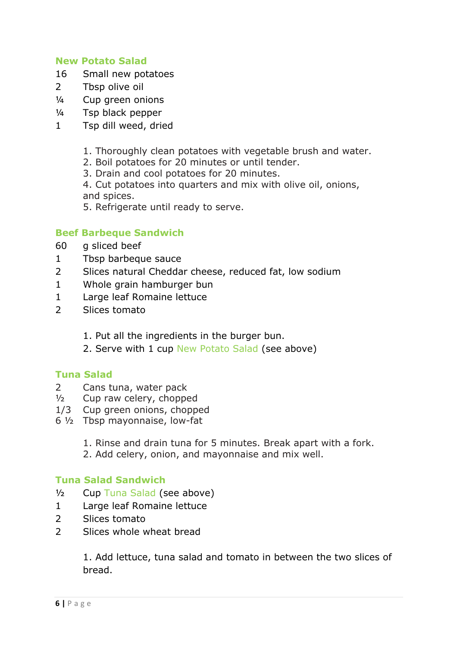### **New Potato Salad**

- 16 Small new potatoes
- 2 Tbsp olive oil
- ¼ Cup green onions
- ¼ Tsp black pepper
- 1 Tsp dill weed, dried
	- 1. Thoroughly clean potatoes with vegetable brush and water.
	- 2. Boil potatoes for 20 minutes or until tender.
	- 3. Drain and cool potatoes for 20 minutes.
	- 4. Cut potatoes into quarters and mix with olive oil, onions, and spices.
	- 5. Refrigerate until ready to serve.

### **Beef Barbeque Sandwich**

- 60 g sliced beef
- 1 Tbsp barbeque sauce
- 2 Slices natural Cheddar cheese, reduced fat, low sodium
- 1 Whole grain hamburger bun
- 1 Large leaf Romaine lettuce
- 2 Slices tomato
	- 1. Put all the ingredients in the burger bun.
	- 2. Serve with 1 cup New Potato Salad (see above)

#### **Tuna Salad**

- 2 Cans tuna, water pack
- $\frac{1}{2}$  Cup raw celery, chopped
- 1/3 Cup green onions, chopped
- 6 ½ Tbsp mayonnaise, low-fat
	- 1. Rinse and drain tuna for 5 minutes. Break apart with a fork.
	- 2. Add celery, onion, and mayonnaise and mix well.

## **Tuna Salad Sandwich**

- ½ Cup Tuna Salad (see above)
- 1 Large leaf Romaine lettuce
- 2 Slices tomato
- 2 Slices whole wheat bread

1. Add lettuce, tuna salad and tomato in between the two slices of bread.